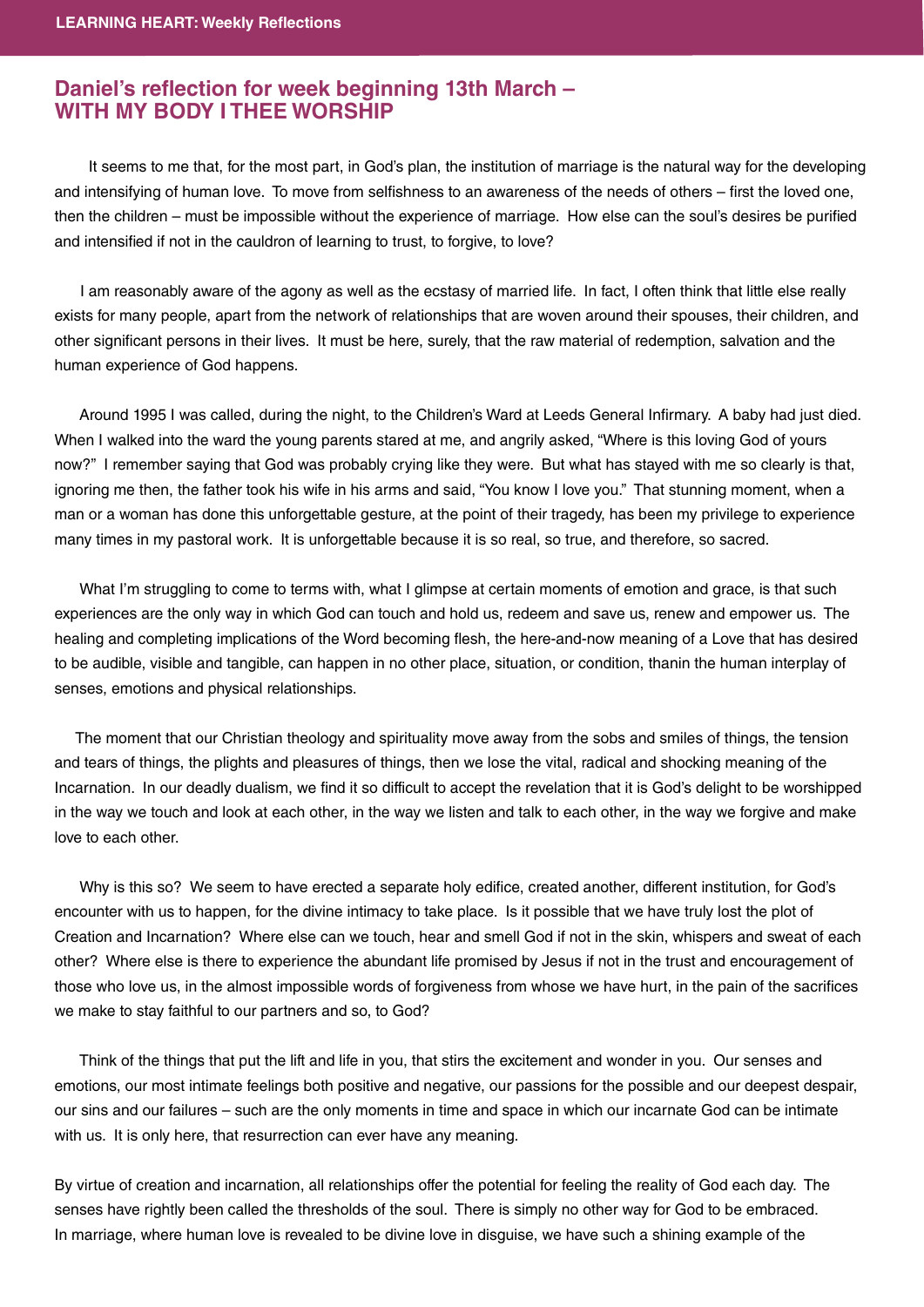## **Daniel's reflection for week beginning 13th March -<br>WITH MY BODY I THEE WORSHIP WITH MY BODY I THEE WORSHIP**

 It seems to me that, for the most part, in God's plan, the institution of marriage is the natural way for the developing and intensifying of human love. To move from selfishness to an awareness of the needs of others – first the loved one, then the children – must be impossible without the experience of marriage. How else can the soul's desires be purified and intensified if not in the cauldron of learning to trust, to forgive, to love?

 I am reasonably aware of the agony as well as the ecstasy of married life. In fact, I often think that little else really exists for many people, apart from the network of relationships that are woven around their spouses, their children, and other significant persons in their lives. It must be here, surely, that the raw material of redemption, salvation and the human experience of God happens.

Around 1995 I was called, during the night, to the Children's Ward at Leeds General Infirmary. A baby had just died. When I walked into the ward the young parents stared at me, and angrily asked, "Where is this loving God of yours now?" I remember saying that God was probably crying like they were. But what has stayed with me so clearly is that, ignoring me then, the father took his wife in his arms and said, "You know I love you." That stunning moment, when a man or a woman has done this unforgettable gesture, at the point of their tragedy, has been my privilege to experience many times in my pastoral work. It is unforgettable because it is so real, so true, and therefore, so sacred.

What I'm struggling to come to terms with, what I glimpse at certain moments of emotion and grace, is that such experiences are the only way in which God can touch and hold us, redeem and save us, renew and empower us. The healing and completing implications of the Word becoming flesh, the here-and-now meaning of a Love that has desired to be audible, visible and tangible, can happen in no other place, situation, or condition, thanin the human interplay of senses, emotions and physical relationships.

 The moment that our Christian theology and spirituality move away from the sobs and smiles of things, the tension and tears of things, the plights and pleasures of things, then we lose the vital, radical and shocking meaning of the Incarnation. In our deadly dualism, we find it so difficult to accept the revelation that it is God's delight to be worshipped in the way we touch and look at each other, in the way we listen and talk to each other, in the way we forgive and make love to each other.

Why is this so? We seem to have erected a separate holy edifice, created another, different institution, for God's encounter with us to happen, for the divine intimacy to take place. Is it possible that we have truly lost the plot of Creation and Incarnation? Where else can we touch, hear and smell God if not in the skin, whispers and sweat of each other? Where else is there to experience the abundant life promised by Jesus if not in the trust and encouragement of those who love us, in the almost impossible words of forgiveness from whose we have hurt, in the pain of the sacrifices we make to stay faithful to our partners and so, to God?

 Think of the things that put the lift and life in you, that stirs the excitement and wonder in you. Our senses and emotions, our most intimate feelings both positive and negative, our passions for the possible and our deepest despair, our sins and our failures – such are the only moments in time and space in which our incarnate God can be intimate with us. It is only here, that resurrection can ever have any meaning.

By virtue of creation and incarnation, all relationships offer the potential for feeling the reality of God each day. The senses have rightly been called the thresholds of the soul. There is simply no other way for God to be embraced. In marriage, where human love is revealed to be divine love in disguise, we have such a shining example of the